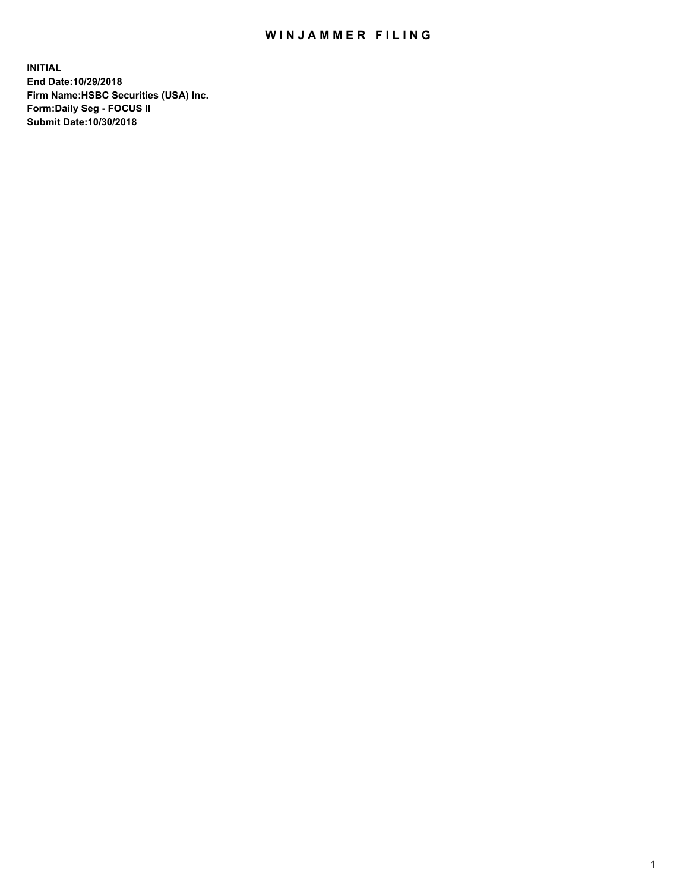## WIN JAMMER FILING

**INITIAL End Date:10/29/2018 Firm Name:HSBC Securities (USA) Inc. Form:Daily Seg - FOCUS II Submit Date:10/30/2018**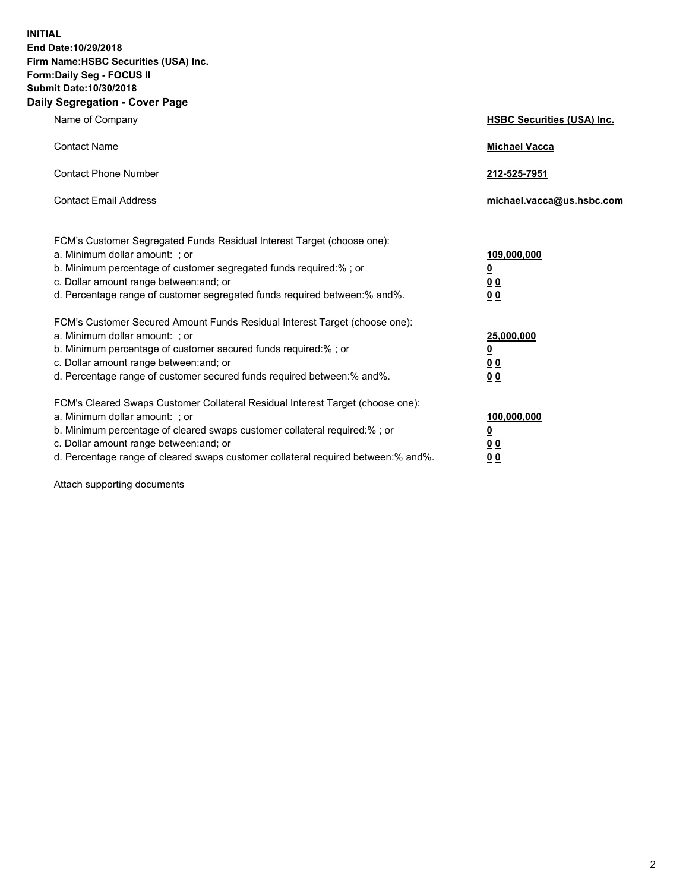**INITIAL End Date:10/29/2018 Firm Name:HSBC Securities (USA) Inc. Form:Daily Seg - FOCUS II Submit Date:10/30/2018 Daily Segregation - Cover Page**

| Name of Company                                                                                                                                                                                                                                                                                                                | <b>HSBC Securities (USA) Inc.</b>                                          |
|--------------------------------------------------------------------------------------------------------------------------------------------------------------------------------------------------------------------------------------------------------------------------------------------------------------------------------|----------------------------------------------------------------------------|
| <b>Contact Name</b>                                                                                                                                                                                                                                                                                                            | <b>Michael Vacca</b>                                                       |
| <b>Contact Phone Number</b>                                                                                                                                                                                                                                                                                                    | 212-525-7951                                                               |
| <b>Contact Email Address</b>                                                                                                                                                                                                                                                                                                   | michael.vacca@us.hsbc.com                                                  |
| FCM's Customer Segregated Funds Residual Interest Target (choose one):<br>a. Minimum dollar amount: ; or<br>b. Minimum percentage of customer segregated funds required:% ; or<br>c. Dollar amount range between: and; or<br>d. Percentage range of customer segregated funds required between:% and%.                         | 109,000,000<br>$\overline{\mathbf{0}}$<br>0 <sub>0</sub><br>0 <sub>0</sub> |
| FCM's Customer Secured Amount Funds Residual Interest Target (choose one):<br>a. Minimum dollar amount: ; or<br>b. Minimum percentage of customer secured funds required:%; or<br>c. Dollar amount range between: and; or<br>d. Percentage range of customer secured funds required between:% and%.                            | 25,000,000<br><u>0</u><br>0 <sub>0</sub><br>00                             |
| FCM's Cleared Swaps Customer Collateral Residual Interest Target (choose one):<br>a. Minimum dollar amount: ; or<br>b. Minimum percentage of cleared swaps customer collateral required:% ; or<br>c. Dollar amount range between: and; or<br>d. Percentage range of cleared swaps customer collateral required between:% and%. | 100,000,000<br>$\overline{\mathbf{0}}$<br>0 <sub>0</sub><br>00             |

Attach supporting documents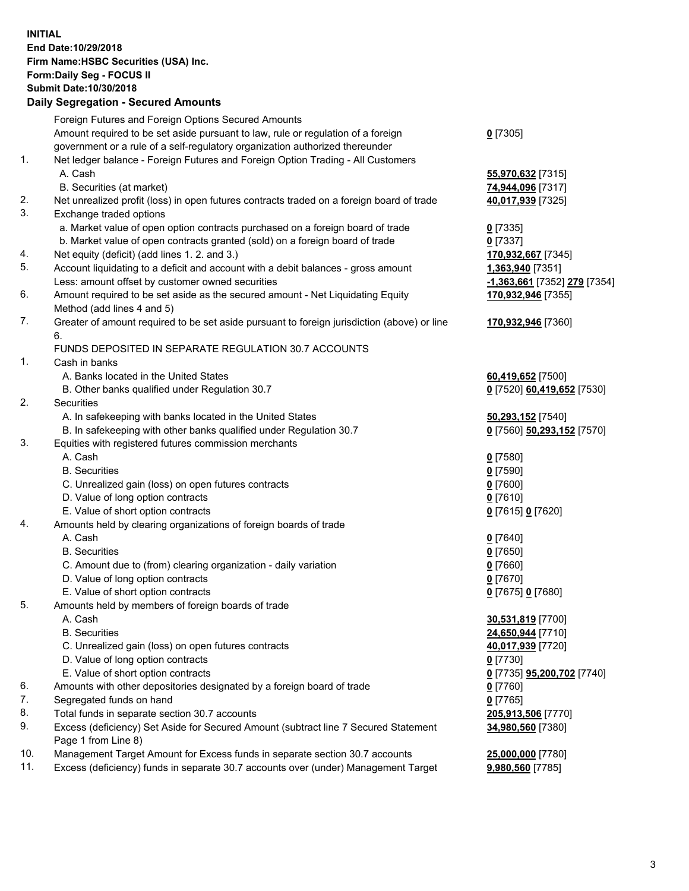**INITIAL End Date:10/29/2018 Firm Name:HSBC Securities (USA) Inc. Form:Daily Seg - FOCUS II Submit Date:10/30/2018 Daily Segregation - Secured Amounts** Foreign Futures and Foreign Options Secured Amounts Amount required to be set aside pursuant to law, rule or regulation of a foreign government or a rule of a self-regulatory organization authorized thereunder **0** [7305] 1. Net ledger balance - Foreign Futures and Foreign Option Trading - All Customers A. Cash **55,970,632** [7315] B. Securities (at market) **74,944,096** [7317] 2. Net unrealized profit (loss) in open futures contracts traded on a foreign board of trade **40,017,939** [7325] 3. Exchange traded options a. Market value of open option contracts purchased on a foreign board of trade **0** [7335] b. Market value of open contracts granted (sold) on a foreign board of trade **0** [7337] 4. Net equity (deficit) (add lines 1. 2. and 3.) **170,932,667** [7345] 5. Account liquidating to a deficit and account with a debit balances - gross amount **1,363,940** [7351] Less: amount offset by customer owned securities **-1,363,661** [7352] **279** [7354] 6. Amount required to be set aside as the secured amount - Net Liquidating Equity Method (add lines 4 and 5) **170,932,946** [7355] 7. Greater of amount required to be set aside pursuant to foreign jurisdiction (above) or line 6. **170,932,946** [7360] FUNDS DEPOSITED IN SEPARATE REGULATION 30.7 ACCOUNTS 1. Cash in banks A. Banks located in the United States **60,419,652** [7500] B. Other banks qualified under Regulation 30.7 **0** [7520] **60,419,652** [7530] 2. Securities A. In safekeeping with banks located in the United States **50,293,152** [7540] B. In safekeeping with other banks qualified under Regulation 30.7 **0** [7560] **50,293,152** [7570] 3. Equities with registered futures commission merchants A. Cash **0** [7580] B. Securities **0** [7590] C. Unrealized gain (loss) on open futures contracts **0** [7600] D. Value of long option contracts **0** [7610] E. Value of short option contracts **0** [7615] **0** [7620] 4. Amounts held by clearing organizations of foreign boards of trade A. Cash **0** [7640] B. Securities **0** [7650] C. Amount due to (from) clearing organization - daily variation **0** [7660] D. Value of long option contracts **0** [7670] E. Value of short option contracts **0** [7675] **0** [7680] 5. Amounts held by members of foreign boards of trade A. Cash **30,531,819** [7700] B. Securities **24,650,944** [7710] C. Unrealized gain (loss) on open futures contracts **40,017,939** [7720] D. Value of long option contracts **0** [7730] E. Value of short option contracts **0** [7735] **95,200,702** [7740] 6. Amounts with other depositories designated by a foreign board of trade **0** [7760] 7. Segregated funds on hand **0** [7765] 8. Total funds in separate section 30.7 accounts **205,913,506** [7770] 9. Excess (deficiency) Set Aside for Secured Amount (subtract line 7 Secured Statement Page 1 from Line 8) **34,980,560** [7380]

10. Management Target Amount for Excess funds in separate section 30.7 accounts **25,000,000** [7780]

11. Excess (deficiency) funds in separate 30.7 accounts over (under) Management Target **9,980,560** [7785]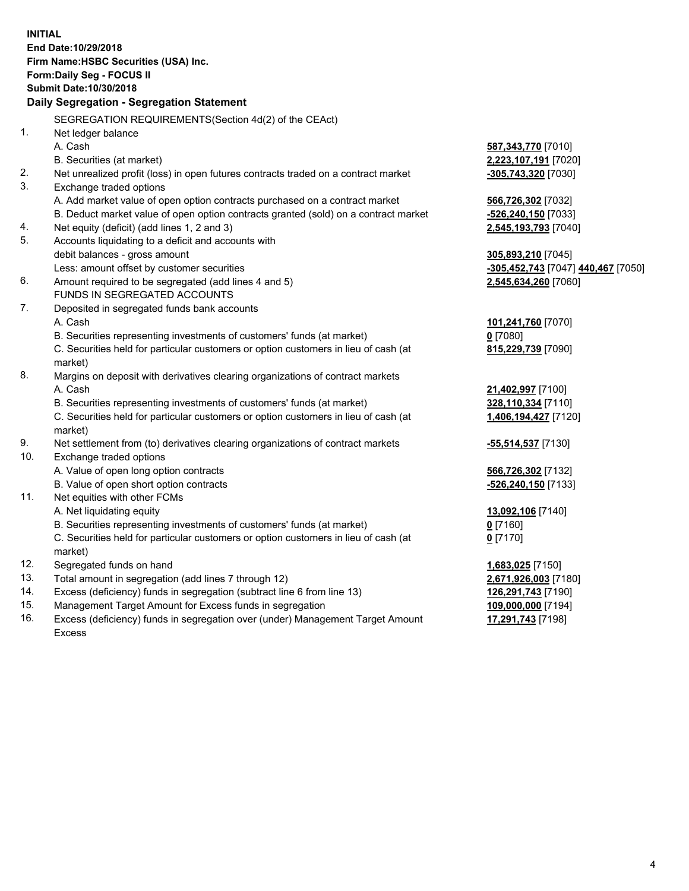**INITIAL End Date:10/29/2018 Firm Name:HSBC Securities (USA) Inc. Form:Daily Seg - FOCUS II Submit Date:10/30/2018 Daily Segregation - Segregation Statement** SEGREGATION REQUIREMENTS(Section 4d(2) of the CEAct) 1. Net ledger balance A. Cash **587,343,770** [7010] B. Securities (at market) **2,223,107,191** [7020] 2. Net unrealized profit (loss) in open futures contracts traded on a contract market **-305,743,320** [7030] 3. Exchange traded options A. Add market value of open option contracts purchased on a contract market **566,726,302** [7032] B. Deduct market value of open option contracts granted (sold) on a contract market **-526,240,150** [7033] 4. Net equity (deficit) (add lines 1, 2 and 3) **2,545,193,793** [7040] 5. Accounts liquidating to a deficit and accounts with debit balances - gross amount **305,893,210** [7045] Less: amount offset by customer securities **-305,452,743** [7047] **440,467** [7050] 6. Amount required to be segregated (add lines 4 and 5) **2,545,634,260** [7060] FUNDS IN SEGREGATED ACCOUNTS 7. Deposited in segregated funds bank accounts A. Cash **101,241,760** [7070] B. Securities representing investments of customers' funds (at market) **0** [7080] C. Securities held for particular customers or option customers in lieu of cash (at market) **815,229,739** [7090] 8. Margins on deposit with derivatives clearing organizations of contract markets A. Cash **21,402,997** [7100] B. Securities representing investments of customers' funds (at market) **328,110,334** [7110] C. Securities held for particular customers or option customers in lieu of cash (at market) **1,406,194,427** [7120] 9. Net settlement from (to) derivatives clearing organizations of contract markets **-55,514,537** [7130] 10. Exchange traded options A. Value of open long option contracts **566,726,302** [7132] B. Value of open short option contracts **-526,240,150** [7133] 11. Net equities with other FCMs A. Net liquidating equity **13,092,106** [7140] B. Securities representing investments of customers' funds (at market) **0** [7160] C. Securities held for particular customers or option customers in lieu of cash (at market) **0** [7170] 12. Segregated funds on hand **1,683,025** [7150] 13. Total amount in segregation (add lines 7 through 12) **2,671,926,003** [7180] 14. Excess (deficiency) funds in segregation (subtract line 6 from line 13) **126,291,743** [7190] 15. Management Target Amount for Excess funds in segregation **109,000,000** [7194] **17,291,743** [7198]

16. Excess (deficiency) funds in segregation over (under) Management Target Amount Excess